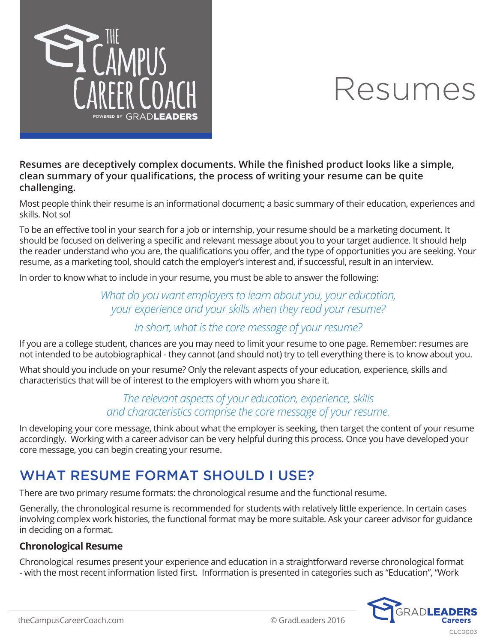

#### **Resumes are deceptively complex documents. While the finished product looks like a simple, clean summary of your qualifications, the process of writing your resume can be quite challenging.**

Most people think their resume is an informational document; a basic summary of their education, experiences and skills. Not so!

To be an effective tool in your search for a job or internship, your resume should be a marketing document. It should be focused on delivering a specific and relevant message about you to your target audience. It should help the reader understand who you are, the qualifications you offer, and the type of opportunities you are seeking. Your resume, as a marketing tool, should catch the employer's interest and, if successful, result in an interview.

In order to know what to include in your resume, you must be able to answer the following:

### *What do you want employers to learn about you, your education, your experience and your skills when they read your resume?*

### *In short, what is the core message of your resume?*

If you are a college student, chances are you may need to limit your resume to one page. Remember: resumes are not intended to be autobiographical - they cannot (and should not) try to tell everything there is to know about you.

What should you include on your resume? Only the relevant aspects of your education, experience, skills and characteristics that will be of interest to the employers with whom you share it.

### *The relevant aspects of your education, experience, skills and characteristics comprise the core message of your resume.*

In developing your core message, think about what the employer is seeking, then target the content of your resume accordingly. Working with a career advisor can be very helpful during this process. Once you have developed your core message, you can begin creating your resume.

## WHAT RESUME FORMAT SHOULD I USE?

There are two primary resume formats: the chronological resume and the functional resume.

Generally, the chronological resume is recommended for students with relatively little experience. In certain cases involving complex work histories, the functional format may be more suitable. Ask your career advisor for guidance in deciding on a format.

#### **Chronological Resume**

Chronological resumes present your experience and education in a straightforward reverse chronological format - with the most recent information listed first. Information is presented in categories such as "Education", "Work

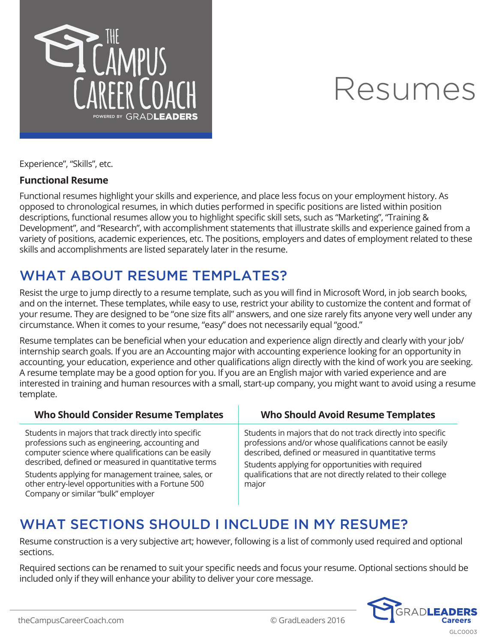

Experience", "Skills", etc.

#### **Functional Resume**

Functional resumes highlight your skills and experience, and place less focus on your employment history. As opposed to chronological resumes, in which duties performed in specific positions are listed within position descriptions, functional resumes allow you to highlight specific skill sets, such as "Marketing", "Training & Development", and "Research", with accomplishment statements that illustrate skills and experience gained from a variety of positions, academic experiences, etc. The positions, employers and dates of employment related to these skills and accomplishments are listed separately later in the resume.

## WHAT ABOUT RESUME TEMPLATES?

Resist the urge to jump directly to a resume template, such as you will find in Microsoft Word, in job search books, and on the internet. These templates, while easy to use, restrict your ability to customize the content and format of your resume. They are designed to be "one size fits all" answers, and one size rarely fits anyone very well under any circumstance. When it comes to your resume, "easy" does not necessarily equal "good."

Resume templates can be beneficial when your education and experience align directly and clearly with your job/ internship search goals. If you are an Accounting major with accounting experience looking for an opportunity in accounting, your education, experience and other qualifications align directly with the kind of work you are seeking. A resume template may be a good option for you. If you are an English major with varied experience and are interested in training and human resources with a small, start-up company, you might want to avoid using a resume template.

| <b>Who Should Consider Resume Templates</b>                                                                                                                                                                            | <b>Who Should Avoid Resume Templates</b>                                                                                                                                                                                             |
|------------------------------------------------------------------------------------------------------------------------------------------------------------------------------------------------------------------------|--------------------------------------------------------------------------------------------------------------------------------------------------------------------------------------------------------------------------------------|
| Students in majors that track directly into specific<br>professions such as engineering, accounting and<br>computer science where qualifications can be easily<br>described, defined or measured in quantitative terms | Students in majors that do not track directly into specific<br>professions and/or whose qualifications cannot be easily<br>described, defined or measured in quantitative terms<br>Students applying for opportunities with required |
| Students applying for management trainee, sales, or<br>other entry-level opportunities with a Fortune 500<br>Company or similar "bulk" employer                                                                        | qualifications that are not directly related to their college<br>major                                                                                                                                                               |

## WHAT SECTIONS SHOULD I INCLUDE IN MY RESUME?

Resume construction is a very subjective art; however, following is a list of commonly used required and optional sections.

Required sections can be renamed to suit your specific needs and focus your resume. Optional sections should be included only if they will enhance your ability to deliver your core message.

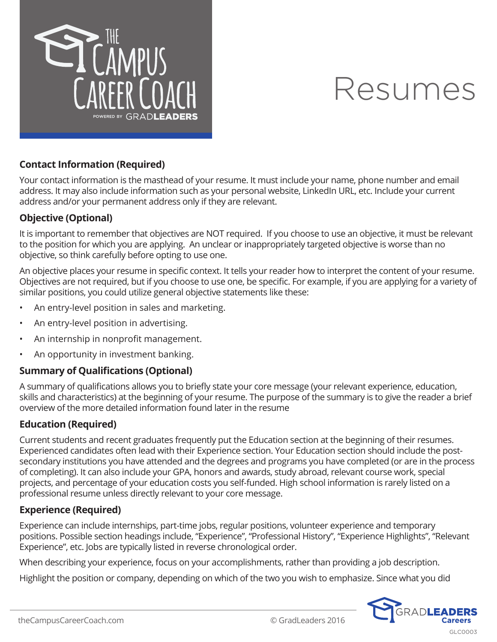

#### **Contact Information (Required)**

Your contact information is the masthead of your resume. It must include your name, phone number and email address. It may also include information such as your personal website, LinkedIn URL, etc. Include your current address and/or your permanent address only if they are relevant.

#### **Objective (Optional)**

It is important to remember that objectives are NOT required. If you choose to use an objective, it must be relevant to the position for which you are applying. An unclear or inappropriately targeted objective is worse than no objective, so think carefully before opting to use one.

An objective places your resume in specific context. It tells your reader how to interpret the content of your resume. Objectives are not required, but if you choose to use one, be specific. For example, if you are applying for a variety of similar positions, you could utilize general objective statements like these:

- An entry-level position in sales and marketing.
- An entry-level position in advertising.
- An internship in nonprofit management.
- An opportunity in investment banking.

#### **Summary of Qualifications (Optional)**

A summary of qualifications allows you to briefly state your core message (your relevant experience, education, skills and characteristics) at the beginning of your resume. The purpose of the summary is to give the reader a brief overview of the more detailed information found later in the resume

#### **Education (Required)**

Current students and recent graduates frequently put the Education section at the beginning of their resumes. Experienced candidates often lead with their Experience section. Your Education section should include the postsecondary institutions you have attended and the degrees and programs you have completed (or are in the process of completing). It can also include your GPA, honors and awards, study abroad, relevant course work, special projects, and percentage of your education costs you self-funded. High school information is rarely listed on a professional resume unless directly relevant to your core message.

#### **Experience (Required)**

Experience can include internships, part-time jobs, regular positions, volunteer experience and temporary positions. Possible section headings include, "Experience", "Professional History", "Experience Highlights", "Relevant Experience", etc. Jobs are typically listed in reverse chronological order.

When describing your experience, focus on your accomplishments, rather than providing a job description.

Highlight the position or company, depending on which of the two you wish to emphasize. Since what you did

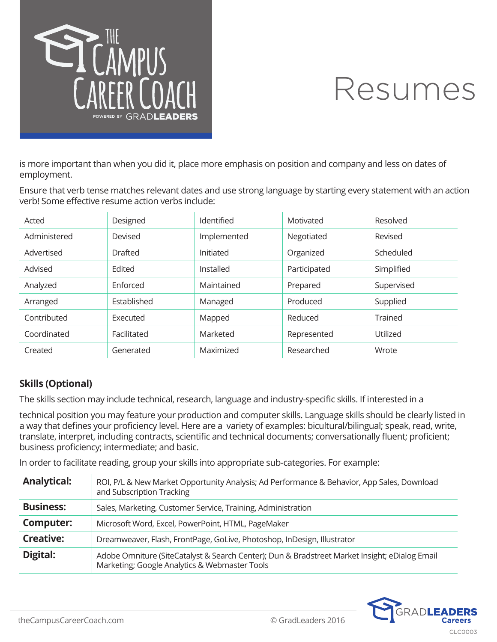

is more important than when you did it, place more emphasis on position and company and less on dates of employment.

Ensure that verb tense matches relevant dates and use strong language by starting every statement with an action verb! Some effective resume action verbs include:

| Acted        | Designed         | Identified  | Motivated    | Resolved   |
|--------------|------------------|-------------|--------------|------------|
| Administered | Devised          | Implemented | Negotiated   | Revised    |
| Advertised   | <b>Drafted</b>   | Initiated   | Organized    | Scheduled  |
| Advised      | Edited           | Installed   | Participated | Simplified |
| Analyzed     | <b>F</b> nforced | Maintained  | Prepared     | Supervised |
| Arranged     | Established      | Managed     | Produced     | Supplied   |
| Contributed  | <b>Executed</b>  | Mapped      | Reduced      | Trained    |
| Coordinated  | Facilitated      | Marketed    | Represented  | Utilized   |
| Created      | Generated        | Maximized   | Researched   | Wrote      |

### **Skills (Optional)**

The skills section may include technical, research, language and industry-specific skills. If interested in a

technical position you may feature your production and computer skills. Language skills should be clearly listed in a way that defines your proficiency level. Here are a variety of examples: bicultural/bilingual; speak, read, write, translate, interpret, including contracts, scientific and technical documents; conversationally fluent; proficient; business proficiency; intermediate; and basic.

In order to facilitate reading, group your skills into appropriate sub-categories. For example:

| <b>Analytical:</b> | ROI, P/L & New Market Opportunity Analysis; Ad Performance & Behavior, App Sales, Download<br>and Subscription Tracking                        |
|--------------------|------------------------------------------------------------------------------------------------------------------------------------------------|
| <b>Business:</b>   | Sales, Marketing, Customer Service, Training, Administration                                                                                   |
| <b>Computer:</b>   | Microsoft Word, Excel, PowerPoint, HTML, PageMaker                                                                                             |
| <b>Creative:</b>   | Dreamweaver, Flash, FrontPage, GoLive, Photoshop, InDesign, Illustrator                                                                        |
| Digital:           | Adobe Omniture (SiteCatalyst & Search Center); Dun & Bradstreet Market Insight; eDialog Email<br>Marketing; Google Analytics & Webmaster Tools |

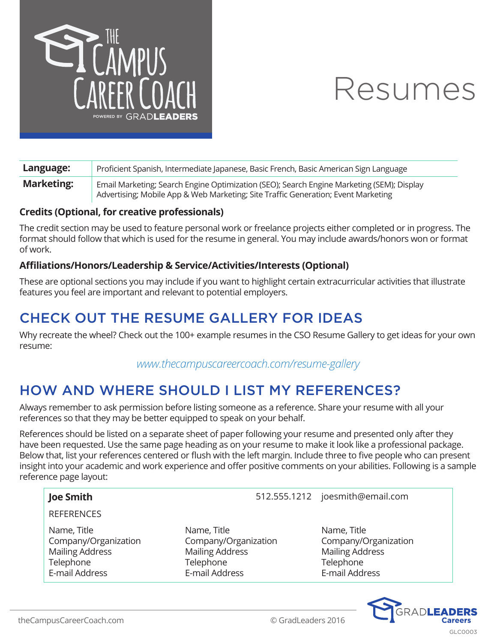

| Language:         | Proficient Spanish, Intermediate Japanese, Basic French, Basic American Sign Language                                                                                          |
|-------------------|--------------------------------------------------------------------------------------------------------------------------------------------------------------------------------|
| <b>Marketing:</b> | Email Marketing; Search Engine Optimization (SEO); Search Engine Marketing (SEM); Display<br>Advertising; Mobile App & Web Marketing; Site Traffic Generation; Event Marketing |

#### **Credits (Optional, for creative professionals)**

The credit section may be used to feature personal work or freelance projects either completed or in progress. The format should follow that which is used for the resume in general. You may include awards/honors won or format of work.

#### **Affiliations/Honors/Leadership & Service/Activities/Interests (Optional)**

These are optional sections you may include if you want to highlight certain extracurricular activities that illustrate features you feel are important and relevant to potential employers.

## CHECK OUT THE RESUME GALLERY FOR IDEAS

Why recreate the wheel? Check out the 100+ example resumes in the CSO Resume Gallery to get ideas for your own resume:

*www.thecampuscareercoach.com/resume-gallery*

## HOW AND WHERE SHOULD I LIST MY REFERENCES?

Always remember to ask permission before listing someone as a reference. Share your resume with all your references so that they may be better equipped to speak on your behalf.

References should be listed on a separate sheet of paper following your resume and presented only after they have been requested. Use the same page heading as on your resume to make it look like a professional package. Below that, list your references centered or flush with the left margin. Include three to five people who can present insight into your academic and work experience and offer positive comments on your abilities. Following is a sample reference page layout:

#### **Joe Smith Joe Smith** 512.555.1212 joesmith@email.com

**REFERENCES** 

Name, Title Company/Organization Mailing Address **Telephone** E-mail Address

- Name, Title Company/Organization Mailing Address **Telephone** E-mail Address
- Name, Title Company/Organization Mailing Address **Telephone** E-mail Address